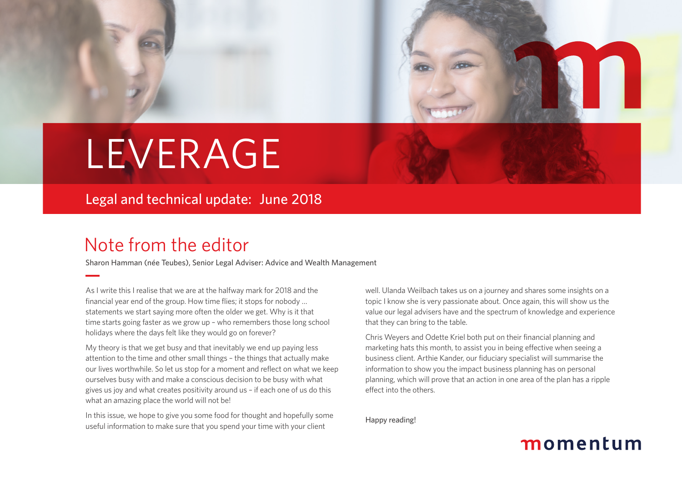

# LEVERAGE

Legal and technical update: June 2018

### Note from the editor

Sharon Hamman (née Teubes), Senior Legal Adviser: Advice and Wealth Management

As I write this I realise that we are at the halfway mark for 2018 and the financial year end of the group. How time flies; it stops for nobody … statements we start saying more often the older we get. Why is it that time starts going faster as we grow up – who remembers those long school holidays where the days felt like they would go on forever?

My theory is that we get busy and that inevitably we end up paying less attention to the time and other small things – the things that actually make our lives worthwhile. So let us stop for a moment and reflect on what we keep ourselves busy with and make a conscious decision to be busy with what gives us joy and what creates positivity around us – if each one of us do this what an amazing place the world will not be!

In this issue, we hope to give you some food for thought and hopefully some useful information to make sure that you spend your time with your client

well. Ulanda Weilbach takes us on a journey and shares some insights on a topic I know she is very passionate about. Once again, this will show us the value our legal advisers have and the spectrum of knowledge and experience that they can bring to the table.

Chris Weyers and Odette Kriel both put on their financial planning and marketing hats this month, to assist you in being effective when seeing a business client. Arthie Kander, our fiduciary specialist will summarise the information to show you the impact business planning has on personal planning, which will prove that an action in one area of the plan has a ripple effect into the others.

Happy reading!

### momentum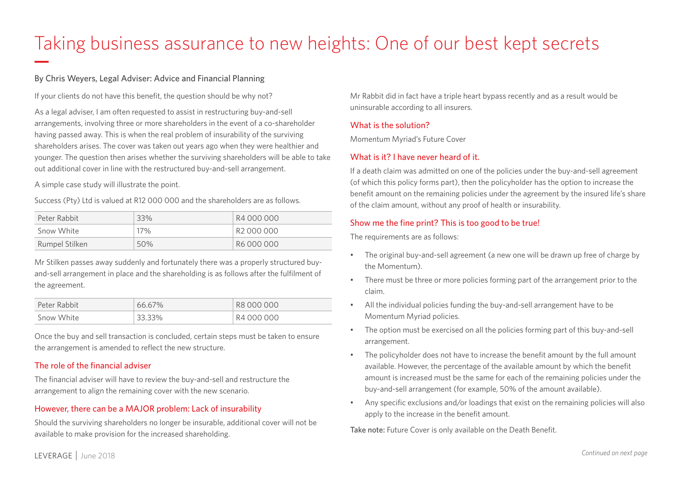## Taking business assurance to new heights: One of our best kept secrets

#### By Chris Weyers, Legal Adviser: Advice and Financial Planning

If your clients do not have this benefit, the question should be why not?

As a legal adviser, I am often requested to assist in restructuring buy-and-sell arrangements, involving three or more shareholders in the event of a co-shareholder having passed away. This is when the real problem of insurability of the surviving shareholders arises. The cover was taken out years ago when they were healthier and younger. The question then arises whether the surviving shareholders will be able to take out additional cover in line with the restructured buy-and-sell arrangement.

A simple case study will illustrate the point.

Success (Pty) Ltd is valued at R12 000 000 and the shareholders are as follows.

| Peter Rabbit   | 33% | R4 000 000 |
|----------------|-----|------------|
| Snow White     | 17% | R2000000   |
| Rumpel Stilken | 50% | R6 000 000 |

Mr Stilken passes away suddenly and fortunately there was a properly structured buyand-sell arrangement in place and the shareholding is as follows after the fulfilment of the agreement.

| Peter Rabbit | 66.67% | R8 000 000 |
|--------------|--------|------------|
| Snow White   | 33.33% | R4 000 000 |

Once the buy and sell transaction is concluded, certain steps must be taken to ensure the arrangement is amended to reflect the new structure.

### The role of the financial adviser

The financial adviser will have to review the buy-and-sell and restructure the arrangement to align the remaining cover with the new scenario.

### However, there can be a MAJOR problem: Lack of insurability

Should the surviving shareholders no longer be insurable, additional cover will not be available to make provision for the increased shareholding.

Mr Rabbit did in fact have a triple heart bypass recently and as a result would be uninsurable according to all insurers.

#### What is the solution?

Momentum Myriad's Future Cover

#### What is it? I have never heard of it.

If a death claim was admitted on one of the policies under the buy-and-sell agreement (of which this policy forms part), then the policyholder has the option to increase the benefit amount on the remaining policies under the agreement by the insured life's share of the claim amount, without any proof of health or insurability.

#### Show me the fine print? This is too good to be true!

The requirements are as follows:

- The original buy-and-sell agreement (a new one will be drawn up free of charge by the Momentum).
- There must be three or more policies forming part of the arrangement prior to the claim.
- All the individual policies funding the buy-and-sell arrangement have to be Momentum Myriad policies.
- The option must be exercised on all the policies forming part of this buy-and-sell arrangement.
- The policyholder does not have to increase the benefit amount by the full amount available. However, the percentage of the available amount by which the benefit amount is increased must be the same for each of the remaining policies under the buy-and-sell arrangement (for example, 50% of the amount available).
- Any specific exclusions and/or loadings that exist on the remaining policies will also apply to the increase in the benefit amount.

Take note: Future Cover is only available on the Death Benefit.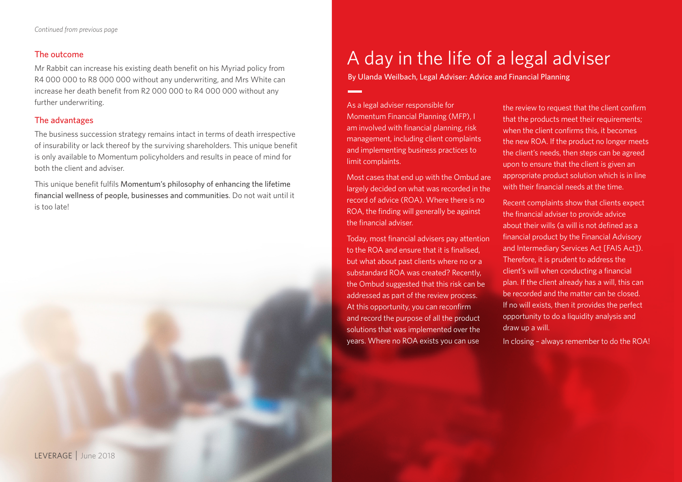#### The outcome

Mr Rabbit can increase his existing death benefit on his Myriad policy from R4 000 000 to R8 000 000 without any underwriting, and Mrs White can increase her death benefit from R2 000 000 to R4 000 000 without any further underwriting.

#### The advantages

The business succession strategy remains intact in terms of death irrespective of insurability or lack thereof by the surviving shareholders. This unique benefit is only available to Momentum policyholders and results in peace of mind for both the client and adviser.

This unique benefit fulfils Momentum's philosophy of enhancing the lifetime financial wellness of people, businesses and communities. Do not wait until it is too late!

### A day in the life of a legal adviser

By Ulanda Weilbach, Legal Adviser: Advice and Financial Planning

As a legal adviser responsible for Momentum Financial Planning (MFP), I am involved with financial planning, risk management, including client complaints and implementing business practices to limit complaints.

Most cases that end up with the Ombud are largely decided on what was recorded in the record of advice (ROA). Where there is no ROA, the finding will generally be against the financial adviser.

Today, most financial advisers pay attention to the ROA and ensure that it is finalised, but what about past clients where no or a substandard ROA was created? Recently, the Ombud suggested that this risk can be addressed as part of the review process. At this opportunity, you can reconfirm and record the purpose of all the product solutions that was implemented over the years. Where no ROA exists you can use

the review to request that the client confirm that the products meet their requirements; when the client confirms this, it becomes the new ROA. If the product no longer meets the client's needs, then steps can be agreed upon to ensure that the client is given an appropriate product solution which is in line with their financial needs at the time.

Recent complaints show that clients expect the financial adviser to provide advice about their wills (a will is not defined as a financial product by the Financial Advisory and Intermediary Services Act [FAIS Act]). Therefore, it is prudent to address the client's will when conducting a financial plan. If the client already has a will, this can be recorded and the matter can be closed. If no will exists, then it provides the perfect opportunity to do a liquidity analysis and draw up a will.

In closing – always remember to do the ROA!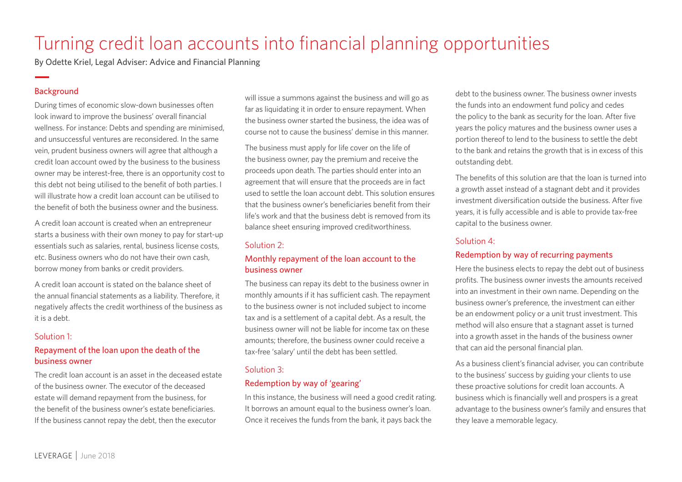### Turning credit loan accounts into financial planning opportunities

By Odette Kriel, Legal Adviser: Advice and Financial Planning

#### Background

During times of economic slow-down businesses often look inward to improve the business' overall financial wellness. For instance: Debts and spending are minimised, and unsuccessful ventures are reconsidered. In the same vein, prudent business owners will agree that although a credit loan account owed by the business to the business owner may be interest-free, there is an opportunity cost to this debt not being utilised to the benefit of both parties. I will illustrate how a credit loan account can be utilised to the benefit of both the business owner and the business.

A credit loan account is created when an entrepreneur starts a business with their own money to pay for start-up essentials such as salaries, rental, business license costs, etc. Business owners who do not have their own cash, borrow money from banks or credit providers.

A credit loan account is stated on the balance sheet of the annual financial statements as a liability. Therefore, it negatively affects the credit worthiness of the business as it is a debt.

#### Solution 1:

#### Repayment of the loan upon the death of the business owner

The credit loan account is an asset in the deceased estate of the business owner. The executor of the deceased estate will demand repayment from the business, for the benefit of the business owner's estate beneficiaries. If the business cannot repay the debt, then the executor

will issue a summons against the business and will go as far as liquidating it in order to ensure repayment. When the business owner started the business, the idea was of course not to cause the business' demise in this manner.

The business must apply for life cover on the life of the business owner, pay the premium and receive the proceeds upon death. The parties should enter into an agreement that will ensure that the proceeds are in fact used to settle the loan account debt. This solution ensures that the business owner's beneficiaries benefit from their life's work and that the business debt is removed from its balance sheet ensuring improved creditworthiness.

#### Solution 2:

#### Monthly repayment of the loan account to the business owner

The business can repay its debt to the business owner in monthly amounts if it has sufficient cash. The repayment to the business owner is not included subject to income tax and is a settlement of a capital debt. As a result, the business owner will not be liable for income tax on these amounts; therefore, the business owner could receive a tax-free 'salary' until the debt has been settled.

#### Solution 3:

#### Redemption by way of 'gearing'

In this instance, the business will need a good credit rating. It borrows an amount equal to the business owner's loan. Once it receives the funds from the bank, it pays back the

debt to the business owner. The business owner invests the funds into an endowment fund policy and cedes the policy to the bank as security for the loan. After five years the policy matures and the business owner uses a portion thereof to lend to the business to settle the debt to the bank and retains the growth that is in excess of this outstanding debt.

The benefits of this solution are that the loan is turned into a growth asset instead of a stagnant debt and it provides investment diversification outside the business. After five years, it is fully accessible and is able to provide tax-free capital to the business owner.

#### Solution 4:

#### Redemption by way of recurring payments

Here the business elects to repay the debt out of business profits. The business owner invests the amounts received into an investment in their own name. Depending on the business owner's preference, the investment can either be an endowment policy or a unit trust investment. This method will also ensure that a stagnant asset is turned into a growth asset in the hands of the business owner that can aid the personal financial plan.

As a business client's financial adviser, you can contribute to the business' success by guiding your clients to use these proactive solutions for credit loan accounts. A business which is financially well and prospers is a great advantage to the business owner's family and ensures that they leave a memorable legacy.